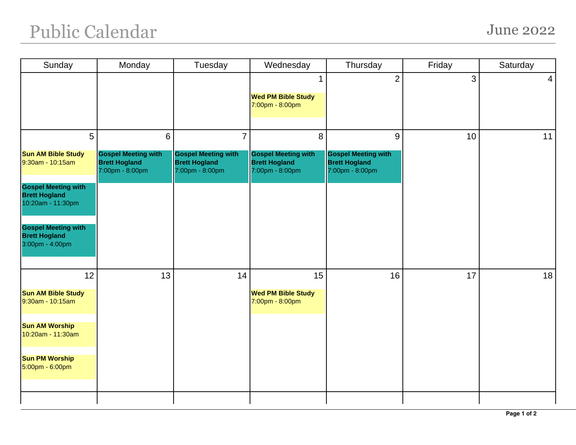## Public Calendar June 2022

| Sunday                                                                  | Monday                                                                | Tuesday                                                               | Wednesday                                                             | Thursday                                                              | Friday       | Saturday       |
|-------------------------------------------------------------------------|-----------------------------------------------------------------------|-----------------------------------------------------------------------|-----------------------------------------------------------------------|-----------------------------------------------------------------------|--------------|----------------|
|                                                                         |                                                                       |                                                                       | 1                                                                     | $\overline{2}$                                                        | $\mathbf{3}$ | $\overline{4}$ |
|                                                                         |                                                                       |                                                                       | <b>Wed PM Bible Study</b><br>7:00pm - 8:00pm                          |                                                                       |              |                |
| 5                                                                       | $6\phantom{1}6$                                                       | $\overline{7}$                                                        | 8                                                                     | 9                                                                     | 10           | 11             |
| <b>Sun AM Bible Study</b><br>9:30am - 10:15am                           | <b>Gospel Meeting with</b><br><b>Brett Hogland</b><br>7:00pm - 8:00pm | <b>Gospel Meeting with</b><br><b>Brett Hogland</b><br>7:00pm - 8:00pm | <b>Gospel Meeting with</b><br><b>Brett Hogland</b><br>7:00pm - 8:00pm | <b>Gospel Meeting with</b><br><b>Brett Hogland</b><br>7:00pm - 8:00pm |              |                |
| <b>Gospel Meeting with</b><br><b>Brett Hogland</b><br>10:20am - 11:30pm |                                                                       |                                                                       |                                                                       |                                                                       |              |                |
| <b>Gospel Meeting with</b><br><b>Brett Hogland</b><br>3:00pm - 4:00pm   |                                                                       |                                                                       |                                                                       |                                                                       |              |                |
| 12                                                                      | 13                                                                    | 14                                                                    | 15                                                                    | 16                                                                    | 17           | 18             |
| <b>Sun AM Bible Study</b><br>9:30am - 10:15am                           |                                                                       |                                                                       | <b>Wed PM Bible Study</b><br>7:00pm - 8:00pm                          |                                                                       |              |                |
| <b>Sun AM Worship</b><br>10:20am - 11:30am                              |                                                                       |                                                                       |                                                                       |                                                                       |              |                |
| <b>Sun PM Worship</b><br>5:00pm - 6:00pm                                |                                                                       |                                                                       |                                                                       |                                                                       |              |                |
|                                                                         |                                                                       |                                                                       |                                                                       |                                                                       |              |                |